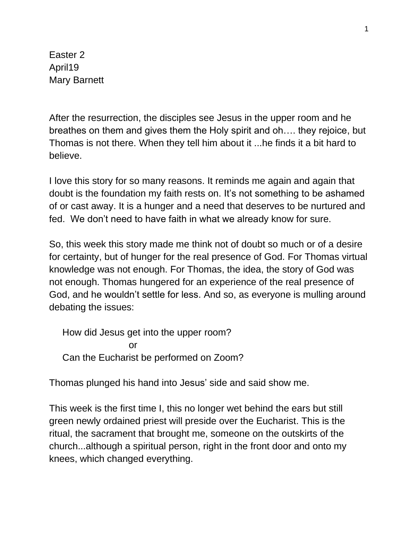Easter 2 April19 Mary Barnett

After the resurrection, the disciples see Jesus in the upper room and he breathes on them and gives them the Holy spirit and oh…. they rejoice, but Thomas is not there. When they tell him about it ...he finds it a bit hard to believe.

I love this story for so many reasons. It reminds me again and again that doubt is the foundation my faith rests on. It's not something to be ashamed of or cast away. It is a hunger and a need that deserves to be nurtured and fed. We don't need to have faith in what we already know for sure.

So, this week this story made me think not of doubt so much or of a desire for certainty, but of hunger for the real presence of God. For Thomas virtual knowledge was not enough. For Thomas, the idea, the story of God was not enough. Thomas hungered for an experience of the real presence of God, and he wouldn't settle for less. And so, as everyone is mulling around debating the issues:

 How did Jesus get into the upper room? **or** and the state of  $\overline{a}$ Can the Eucharist be performed on Zoom?

Thomas plunged his hand into Jesus' side and said show me.

This week is the first time I, this no longer wet behind the ears but still green newly ordained priest will preside over the Eucharist. This is the ritual, the sacrament that brought me, someone on the outskirts of the church...although a spiritual person, right in the front door and onto my knees, which changed everything.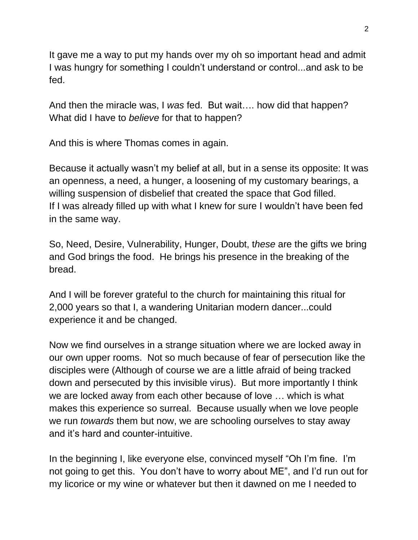It gave me a way to put my hands over my oh so important head and admit I was hungry for something I couldn't understand or control...and ask to be fed.

And then the miracle was, I *was* fed. But wait…. how did that happen? What did I have to *believe* for that to happen?

And this is where Thomas comes in again.

Because it actually wasn't my belief at all, but in a sense its opposite: It was an openness, a need, a hunger, a loosening of my customary bearings, a willing suspension of disbelief that created the space that God filled. If I was already filled up with what I knew for sure I wouldn't have been fed in the same way.

So, Need, Desire, Vulnerability, Hunger, Doubt, t*hese* are the gifts we bring and God brings the food. He brings his presence in the breaking of the bread.

And I will be forever grateful to the church for maintaining this ritual for 2,000 years so that I, a wandering Unitarian modern dancer...could experience it and be changed.

Now we find ourselves in a strange situation where we are locked away in our own upper rooms. Not so much because of fear of persecution like the disciples were (Although of course we are a little afraid of being tracked down and persecuted by this invisible virus). But more importantly I think we are locked away from each other because of love … which is what makes this experience so surreal. Because usually when we love people we run *towards* them but now, we are schooling ourselves to stay away and it's hard and counter-intuitive.

In the beginning I, like everyone else, convinced myself "Oh I'm fine. I'm not going to get this. You don't have to worry about ME", and I'd run out for my licorice or my wine or whatever but then it dawned on me I needed to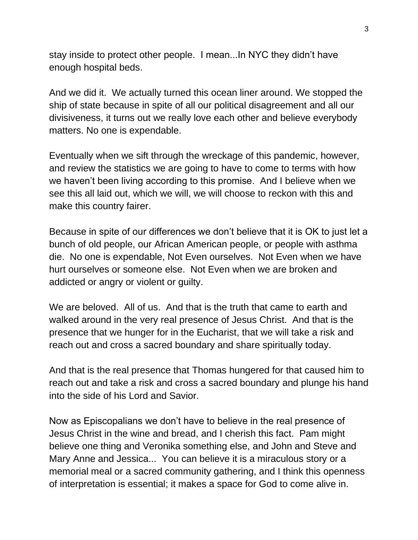stay inside to protect other people. I mean...In NYC they didn't have enough hospital beds.

And we did it. We actually turned this ocean liner around. We stopped the ship of state because in spite of all our political disagreement and all our divisiveness, it turns out we really love each other and believe everybody matters. No one is expendable.

Eventually when we sift through the wreckage of this pandemic, however, and review the statistics we are going to have to come to terms with how we haven't been living according to this promise. And I believe when we see this all laid out, which we will, we will choose to reckon with this and make this country fairer.

Because in spite of our differences we don't believe that it is OK to just let a bunch of old people, our African American people, or people with asthma die. No one is expendable, Not Even ourselves. Not Even when we have hurt ourselves or someone else. Not Even when we are broken and addicted or angry or violent or guilty.

We are beloved. All of us. And that is the truth that came to earth and walked around in the very real presence of Jesus Christ. And that is the presence that we hunger for in the Eucharist, that we will take a risk and reach out and cross a sacred boundary and share spiritually today.

And that is the real presence that Thomas hungered for that caused him to reach out and take a risk and cross a sacred boundary and plunge his hand into the side of his Lord and Savior.

Now as Episcopalians we don't have to believe in the real presence of Jesus Christ in the wine and bread, and I cherish this fact. Pam might believe one thing and Veronika something else, and John and Steve and Mary Anne and Jessica... You can believe it is a miraculous story or a memorial meal or a sacred community gathering, and I think this openness of interpretation is essential; it makes a space for God to come alive in.